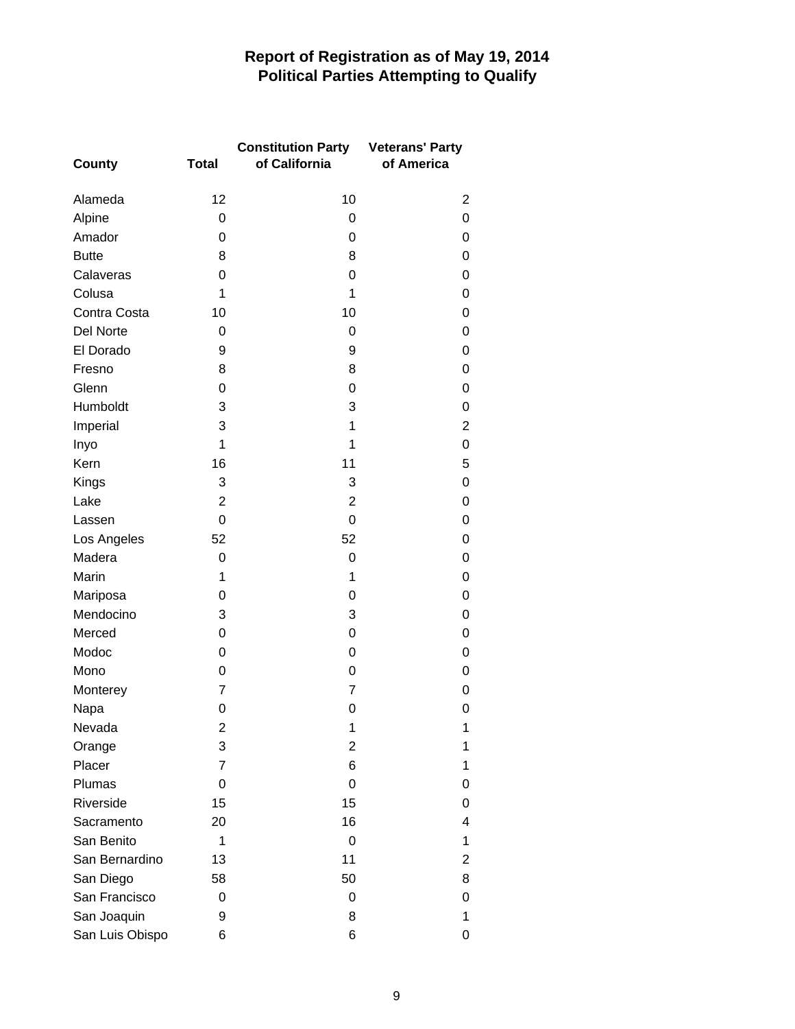## **Report of Registration as of May 19, 2014 Political Parties Attempting to Qualify**

|                 |                | <b>Constitution Party</b> | <b>Veterans' Party</b> |
|-----------------|----------------|---------------------------|------------------------|
| <b>County</b>   | <b>Total</b>   | of California             | of America             |
| Alameda         | 12             | 10                        | 2                      |
| Alpine          | 0              | 0                         | 0                      |
| Amador          | 0              | 0                         | 0                      |
| <b>Butte</b>    | 8              | 8                         | 0                      |
| Calaveras       | 0              | 0                         | 0                      |
| Colusa          | 1              | 1                         | 0                      |
| Contra Costa    | 10             | 10                        | 0                      |
| Del Norte       | 0              | 0                         | 0                      |
| El Dorado       | 9              | 9                         | 0                      |
| Fresno          | 8              | 8                         | 0                      |
| Glenn           | $\mathbf 0$    | 0                         | 0                      |
| Humboldt        | 3              | 3                         | 0                      |
| Imperial        | 3              | 1                         | $\overline{c}$         |
| Inyo            | 1              | 1                         | 0                      |
| Kern            | 16             | 11                        | 5                      |
| Kings           | 3              | 3                         | 0                      |
| Lake            | $\overline{c}$ | $\overline{2}$            | 0                      |
| Lassen          | $\overline{0}$ | $\overline{0}$            | 0                      |
| Los Angeles     | 52             | 52                        | 0                      |
| Madera          | 0              | $\mathbf 0$               | 0                      |
| Marin           | 1              | 1                         | 0                      |
| Mariposa        | 0              | 0                         | 0                      |
| Mendocino       | 3              | 3                         | 0                      |
| Merced          | 0              | 0                         | 0                      |
| Modoc           | $\mathbf 0$    | 0                         | 0                      |
| Mono            | 0              | 0                         | 0                      |
| Monterey        | 7              | 7                         | 0                      |
| Napa            | 0              | 0                         | 0                      |
| Nevada          | 2              | 1                         | 1                      |
| Orange          | 3              | 2                         | 1                      |
| Placer          | 7              | 6                         | 1                      |
| Plumas          | 0              | 0                         | 0                      |
| Riverside       | 15             | 15                        | 0                      |
| Sacramento      | 20             | 16                        | 4                      |
| San Benito      | 1              | 0                         | 1                      |
| San Bernardino  | 13             | 11                        | 2                      |
| San Diego       | 58             | 50                        | 8                      |
| San Francisco   | 0              | 0                         | 0                      |
| San Joaquin     | 9              | 8                         | 1                      |
| San Luis Obispo | 6              | 6                         | 0                      |